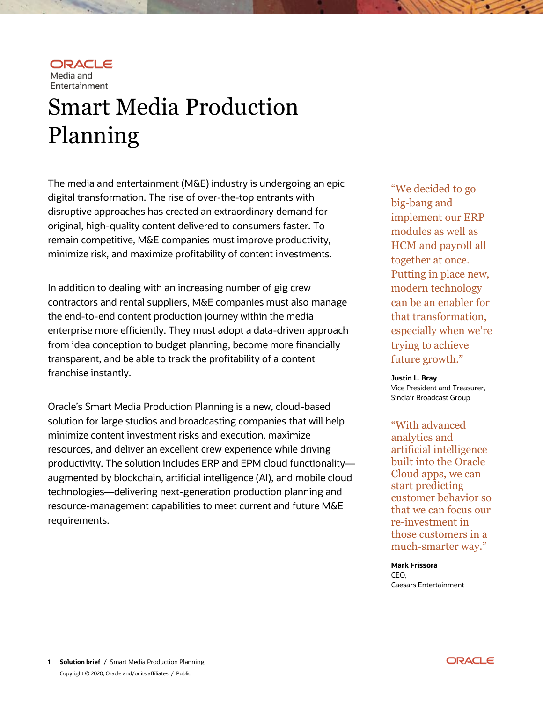

Smart Media Production Planning

The media and entertainment (M&E) industry is undergoing an epic digital transformation. The rise of over-the-top entrants with disruptive approaches has created an extraordinary demand for original, high-quality content delivered to consumers faster. To remain competitive, M&E companies must improve productivity, minimize risk, and maximize profitability of content investments.

In addition to dealing with an increasing number of gig crew contractors and rental suppliers, M&E companies must also manage the end-to-end content production journey within the media enterprise more efficiently. They must adopt a data-driven approach from idea conception to budget planning, become more financially transparent, and be able to track the profitability of a content franchise instantly.

Oracle's Smart Media Production Planning is a new, cloud-based solution for large studios and broadcasting companies that will help minimize content investment risks and execution, maximize resources, and deliver an excellent crew experience while driving productivity. The solution includes ERP and EPM cloud functionality augmented by blockchain, artificial intelligence (AI), and mobile cloud technologies—delivering next-generation production planning and resource-management capabilities to meet current and future M&E requirements.

"We decided to go big-bang and implement our ERP modules as well as HCM and payroll all together at once. Putting in place new, modern technology can be an enabler for that transformation, especially when we're trying to achieve future growth."

**Justin L. Bray** Vice President and Treasurer, Sinclair Broadcast Group

"With advanced analytics and artificial intelligence built into the Oracle Cloud apps, we can start predicting customer behavior so that we can focus our re-investment in those customers in a much-smarter way."

**Mark Frissora** CEO, Caesars Entertainment

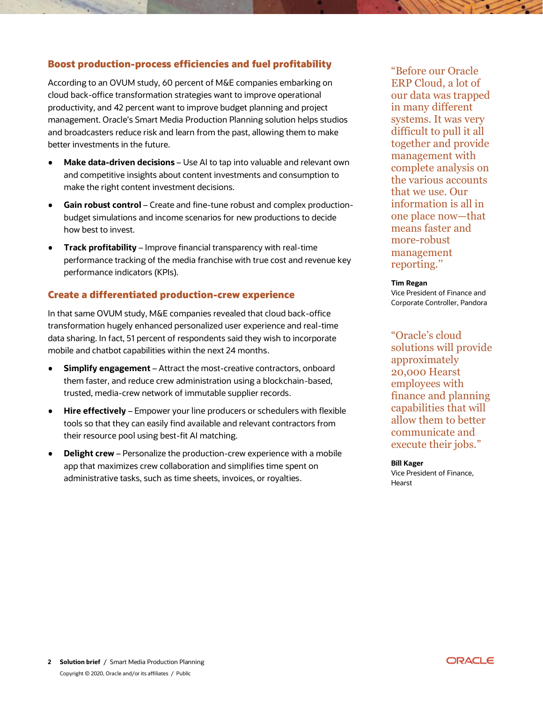# Boost production-process efficiencies and fuel profitability

According to an OVUM study, 60 percent of M&E companies embarking on cloud back-office transformation strategies want to improve operational productivity, and 42 percent want to improve budget planning and project management. Oracle's Smart Media Production Planning solution helps studios and broadcasters reduce risk and learn from the past, allowing them to make better investments in the future.

- **Make data-driven decisions** Use AI to tap into valuable and relevant own and competitive insights about content investments and consumption to make the right content investment decisions.
- **Gain robust control** Create and fine-tune robust and complex productionbudget simulations and income scenarios for new productions to decide how best to invest.
- **Track profitability** Improve financial transparency with real-time performance tracking of the media franchise with true cost and revenue key performance indicators (KPIs).

# Create a differentiated production-crew experience

In that same OVUM study, M&E companies revealed that cloud back-office transformation hugely enhanced personalized user experience and real-time data sharing. In fact, 51 percent of respondents said they wish to incorporate mobile and chatbot capabilities within the next 24 months.

- **Simplify engagement** Attract the most-creative contractors, onboard them faster, and reduce crew administration using a blockchain-based, trusted, media-crew network of immutable supplier records.
- **Hire effectively** Empower your line producers or schedulers with flexible ٠ tools so that they can easily find available and relevant contractors from their resource pool using best-fit AI matching.
- **Delight crew** Personalize the production-crew experience with a mobile app that maximizes crew collaboration and simplifies time spent on administrative tasks, such as time sheets, invoices, or royalties.

"Before our Oracle ERP Cloud, a lot of our data was trapped in many different systems. It was very difficult to pull it all together and provide management with complete analysis on the various accounts that we use. Our information is all in one place now—that means faster and more-robust management reporting.''

#### **Tim Regan**

Vice President of Finance and Corporate Controller, Pandora

"Oracle's cloud solutions will provide approximately 20,000 Hearst employees with finance and planning capabilities that will allow them to better communicate and execute their jobs."

#### **Bill Kager**

Vice President of Finance, Hearst